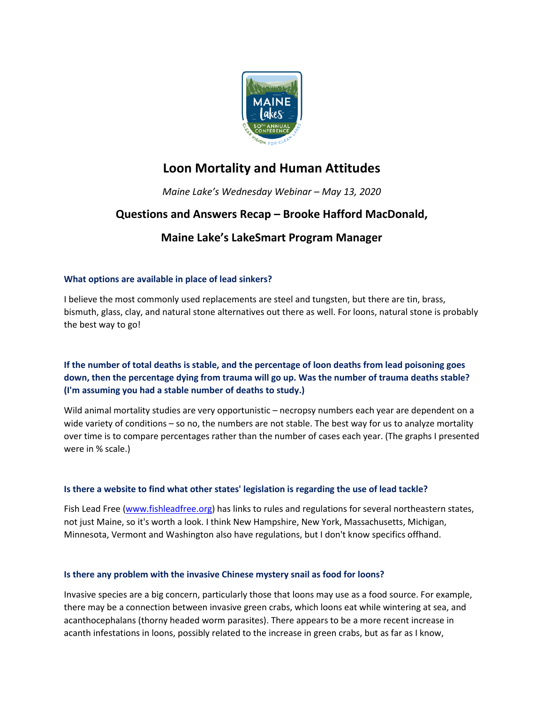

# **Loon Mortality and Human Attitudes**

*Maine Lake's Wednesday Webinar – May 13, 2020*

## **Questions and Answers Recap – Brooke Hafford MacDonald,**

## **Maine Lake's LakeSmart Program Manager**

## **What options are available in place of lead sinkers?**

I believe the most commonly used replacements are steel and tungsten, but there are tin, brass, bismuth, glass, clay, and natural stone alternatives out there as well. For loons, natural stone is probably the best way to go!

## **If the number of total deaths is stable, and the percentage of loon deaths from lead poisoning goes down, then the percentage dying from trauma will go up. Was the number of trauma deaths stable? (I'm assuming you had a stable number of deaths to study.)**

Wild animal mortality studies are very opportunistic – necropsy numbers each year are dependent on a wide variety of conditions – so no, the numbers are not stable. The best way for us to analyze mortality over time is to compare percentages rather than the number of cases each year. (The graphs I presented were in % scale.)

## **Is there a website to find what other states' legislation is regarding the use of lead tackle?**

Fish Lead Free [\(www.fishleadfree.org\)](http://www.fishleadfree.org/) has links to rules and regulations for several northeastern states, not just Maine, so it's worth a look. I think New Hampshire, New York, Massachusetts, Michigan, Minnesota, Vermont and Washington also have regulations, but I don't know specifics offhand.

### **Is there any problem with the invasive Chinese mystery snail as food for loons?**

Invasive species are a big concern, particularly those that loons may use as a food source. For example, there may be a connection between invasive green crabs, which loons eat while wintering at sea, and acanthocephalans (thorny headed worm parasites). There appears to be a more recent increase in acanth infestations in loons, possibly related to the increase in green crabs, but as far as I know,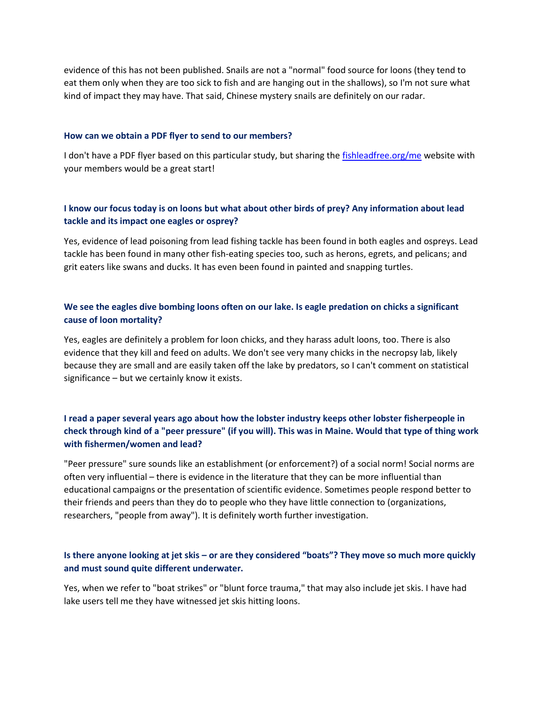evidence of this has not been published. Snails are not a "normal" food source for loons (they tend to eat them only when they are too sick to fish and are hanging out in the shallows), so I'm not sure what kind of impact they may have. That said, Chinese mystery snails are definitely on our radar.

#### **How can we obtain a PDF flyer to send to our members?**

I don't have a PDF flyer based on this particular study, but sharing the [fishleadfree.org/me](http://fishleadfree.org/me) website with your members would be a great start!

## **I know our focus today is on loons but what about other birds of prey? Any information about lead tackle and its impact one eagles or osprey?**

Yes, evidence of lead poisoning from lead fishing tackle has been found in both eagles and ospreys. Lead tackle has been found in many other fish-eating species too, such as herons, egrets, and pelicans; and grit eaters like swans and ducks. It has even been found in painted and snapping turtles.

## **We see the eagles dive bombing loons often on our lake. Is eagle predation on chicks a significant cause of loon mortality?**

Yes, eagles are definitely a problem for loon chicks, and they harass adult loons, too. There is also evidence that they kill and feed on adults. We don't see very many chicks in the necropsy lab, likely because they are small and are easily taken off the lake by predators, so I can't comment on statistical significance – but we certainly know it exists.

## **I read a paper several years ago about how the lobster industry keeps other lobster fisherpeople in check through kind of a "peer pressure" (if you will). This was in Maine. Would that type of thing work with fishermen/women and lead?**

"Peer pressure" sure sounds like an establishment (or enforcement?) of a social norm! Social norms are often very influential – there is evidence in the literature that they can be more influential than educational campaigns or the presentation of scientific evidence. Sometimes people respond better to their friends and peers than they do to people who they have little connection to (organizations, researchers, "people from away"). It is definitely worth further investigation.

### **Is there anyone looking at jet skis – or are they considered "boats"? They move so much more quickly and must sound quite different underwater.**

Yes, when we refer to "boat strikes" or "blunt force trauma," that may also include jet skis. I have had lake users tell me they have witnessed jet skis hitting loons.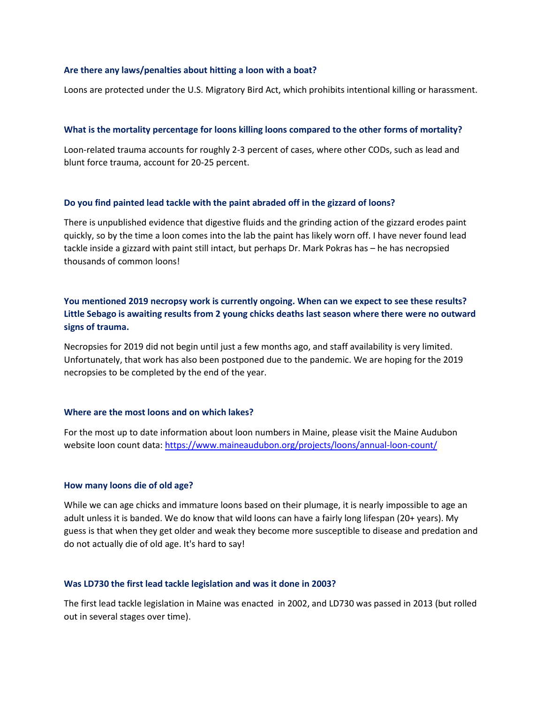#### **Are there any laws/penalties about hitting a loon with a boat?**

Loons are protected under the U.S. Migratory Bird Act, which prohibits intentional killing or harassment.

#### **What is the mortality percentage for loons killing loons compared to the other forms of mortality?**

Loon-related trauma accounts for roughly 2-3 percent of cases, where other CODs, such as lead and blunt force trauma, account for 20-25 percent.

#### **Do you find painted lead tackle with the paint abraded off in the gizzard of loons?**

There is unpublished evidence that digestive fluids and the grinding action of the gizzard erodes paint quickly, so by the time a loon comes into the lab the paint has likely worn off. I have never found lead tackle inside a gizzard with paint still intact, but perhaps Dr. Mark Pokras has – he has necropsied thousands of common loons!

**You mentioned 2019 necropsy work is currently ongoing. When can we expect to see these results? Little Sebago is awaiting results from 2 young chicks deaths last season where there were no outward signs of trauma.**

Necropsies for 2019 did not begin until just a few months ago, and staff availability is very limited. Unfortunately, that work has also been postponed due to the pandemic. We are hoping for the 2019 necropsies to be completed by the end of the year.

#### **Where are the most loons and on which lakes?**

For the most up to date information about loon numbers in Maine, please visit the Maine Audubon website loon count data[: https://www.maineaudubon.org/projects/loons/annual-loon-count/](https://www.maineaudubon.org/projects/loons/annual-loon-count/)

#### **How many loons die of old age?**

While we can age chicks and immature loons based on their plumage, it is nearly impossible to age an adult unless it is banded. We do know that wild loons can have a fairly long lifespan (20+ years). My guess is that when they get older and weak they become more susceptible to disease and predation and do not actually die of old age. It's hard to say!

#### **Was LD730 the first lead tackle legislation and was it done in 2003?**

The first lead tackle legislation in Maine was enacted in 2002, and LD730 was passed in 2013 (but rolled out in several stages over time).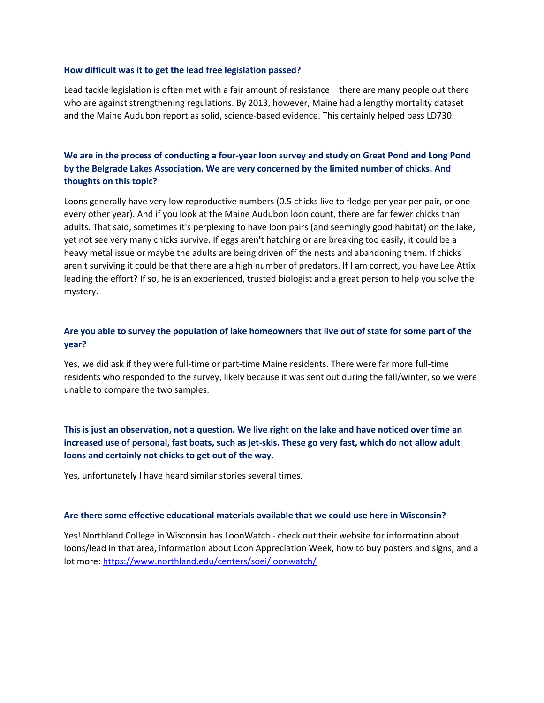#### **How difficult was it to get the lead free legislation passed?**

Lead tackle legislation is often met with a fair amount of resistance – there are many people out there who are against strengthening regulations. By 2013, however, Maine had a lengthy mortality dataset and the Maine Audubon report as solid, science-based evidence. This certainly helped pass LD730.

## **We are in the process of conducting a four-year loon survey and study on Great Pond and Long Pond by the Belgrade Lakes Association. We are very concerned by the limited number of chicks. And thoughts on this topic?**

Loons generally have very low reproductive numbers (0.5 chicks live to fledge per year per pair, or one every other year). And if you look at the Maine Audubon loon count, there are far fewer chicks than adults. That said, sometimes it's perplexing to have loon pairs (and seemingly good habitat) on the lake, yet not see very many chicks survive. If eggs aren't hatching or are breaking too easily, it could be a heavy metal issue or maybe the adults are being driven off the nests and abandoning them. If chicks aren't surviving it could be that there are a high number of predators. If I am correct, you have Lee Attix leading the effort? If so, he is an experienced, trusted biologist and a great person to help you solve the mystery.

## **Are you able to survey the population of lake homeowners that live out of state for some part of the year?**

Yes, we did ask if they were full-time or part-time Maine residents. There were far more full-time residents who responded to the survey, likely because it was sent out during the fall/winter, so we were unable to compare the two samples.

**This is just an observation, not a question. We live right on the lake and have noticed over time an increased use of personal, fast boats, such as jet-skis. These go very fast, which do not allow adult loons and certainly not chicks to get out of the way.**

Yes, unfortunately I have heard similar stories several times.

#### **Are there some effective educational materials available that we could use here in Wisconsin?**

Yes! Northland College in Wisconsin has LoonWatch - check out their website for information about loons/lead in that area, information about Loon Appreciation Week, how to buy posters and signs, and a lot more:<https://www.northland.edu/centers/soei/loonwatch/>